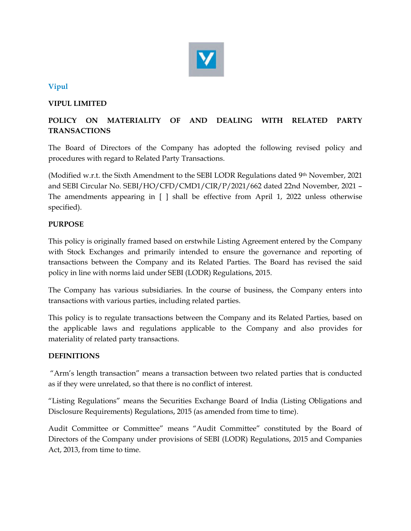

# Vipul

# VIPUL LIMITED

# POLICY ON MATERIALITY OF AND DEALING WITH RELATED PARTY TRANSACTIONS

The Board of Directors of the Company has adopted the following revised policy and procedures with regard to Related Party Transactions.

(Modified w.r.t. the Sixth Amendment to the SEBI LODR Regulations dated 9th November, 2021 and SEBI Circular No. SEBI/HO/CFD/CMD1/CIR/P/2021/662 dated 22nd November, 2021 – The amendments appearing in [ ] shall be effective from April 1, 2022 unless otherwise specified).

# PURPOSE

This policy is originally framed based on erstwhile Listing Agreement entered by the Company with Stock Exchanges and primarily intended to ensure the governance and reporting of transactions between the Company and its Related Parties. The Board has revised the said policy in line with norms laid under SEBI (LODR) Regulations, 2015.

The Company has various subsidiaries. In the course of business, the Company enters into transactions with various parties, including related parties.

This policy is to regulate transactions between the Company and its Related Parties, based on the applicable laws and regulations applicable to the Company and also provides for materiality of related party transactions.

# DEFINITIONS

 "Arm's length transaction" means a transaction between two related parties that is conducted as if they were unrelated, so that there is no conflict of interest.

"Listing Regulations" means the Securities Exchange Board of India (Listing Obligations and Disclosure Requirements) Regulations, 2015 (as amended from time to time).

Audit Committee or Committee" means "Audit Committee" constituted by the Board of Directors of the Company under provisions of SEBI (LODR) Regulations, 2015 and Companies Act, 2013, from time to time.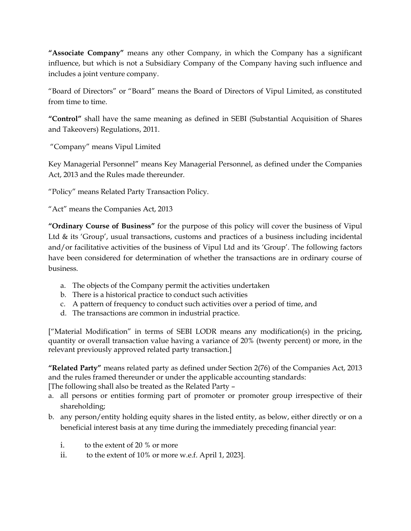"Associate Company" means any other Company, in which the Company has a significant influence, but which is not a Subsidiary Company of the Company having such influence and includes a joint venture company.

"Board of Directors" or "Board" means the Board of Directors of Vipul Limited, as constituted from time to time.

"Control" shall have the same meaning as defined in SEBI (Substantial Acquisition of Shares and Takeovers) Regulations, 2011.

"Company" means Vipul Limited

Key Managerial Personnel" means Key Managerial Personnel, as defined under the Companies Act, 2013 and the Rules made thereunder.

"Policy" means Related Party Transaction Policy.

"Act" means the Companies Act, 2013

"Ordinary Course of Business" for the purpose of this policy will cover the business of Vipul Ltd & its 'Group', usual transactions, customs and practices of a business including incidental and/or facilitative activities of the business of Vipul Ltd and its 'Group'. The following factors have been considered for determination of whether the transactions are in ordinary course of business.

- a. The objects of the Company permit the activities undertaken
- b. There is a historical practice to conduct such activities
- c. A pattern of frequency to conduct such activities over a period of time, and
- d. The transactions are common in industrial practice.

["Material Modification" in terms of SEBI LODR means any modification(s) in the pricing, quantity or overall transaction value having a variance of 20% (twenty percent) or more, in the relevant previously approved related party transaction.]

"Related Party" means related party as defined under Section 2(76) of the Companies Act, 2013 and the rules framed thereunder or under the applicable accounting standards:

[The following shall also be treated as the Related Party –

- a. all persons or entities forming part of promoter or promoter group irrespective of their shareholding;
- b. any person/entity holding equity shares in the listed entity, as below, either directly or on a beneficial interest basis at any time during the immediately preceding financial year:
	- i. to the extent of 20 % or more
	- ii. to the extent of 10% or more w.e.f. April 1, 2023].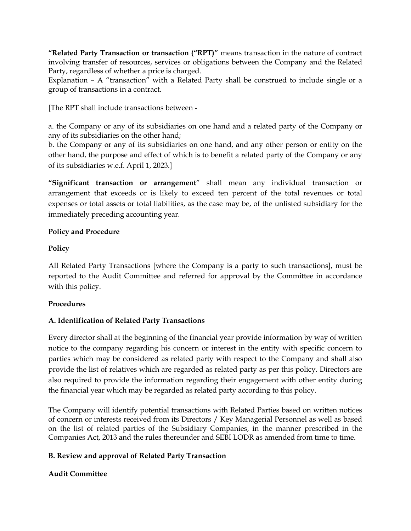"Related Party Transaction or transaction ("RPT)" means transaction in the nature of contract involving transfer of resources, services or obligations between the Company and the Related Party, regardless of whether a price is charged.

Explanation – A "transaction" with a Related Party shall be construed to include single or a group of transactions in a contract.

[The RPT shall include transactions between -

a. the Company or any of its subsidiaries on one hand and a related party of the Company or any of its subsidiaries on the other hand;

b. the Company or any of its subsidiaries on one hand, and any other person or entity on the other hand, the purpose and effect of which is to benefit a related party of the Company or any of its subsidiaries w.e.f. April 1, 2023.]

"Significant transaction or arrangement" shall mean any individual transaction or arrangement that exceeds or is likely to exceed ten percent of the total revenues or total expenses or total assets or total liabilities, as the case may be, of the unlisted subsidiary for the immediately preceding accounting year.

### Policy and Procedure

### Policy

All Related Party Transactions [where the Company is a party to such transactions], must be reported to the Audit Committee and referred for approval by the Committee in accordance with this policy.

### Procedures

# A. Identification of Related Party Transactions

Every director shall at the beginning of the financial year provide information by way of written notice to the company regarding his concern or interest in the entity with specific concern to parties which may be considered as related party with respect to the Company and shall also provide the list of relatives which are regarded as related party as per this policy. Directors are also required to provide the information regarding their engagement with other entity during the financial year which may be regarded as related party according to this policy.

The Company will identify potential transactions with Related Parties based on written notices of concern or interests received from its Directors / Key Managerial Personnel as well as based on the list of related parties of the Subsidiary Companies, in the manner prescribed in the Companies Act, 2013 and the rules thereunder and SEBI LODR as amended from time to time.

# B. Review and approval of Related Party Transaction

# Audit Committee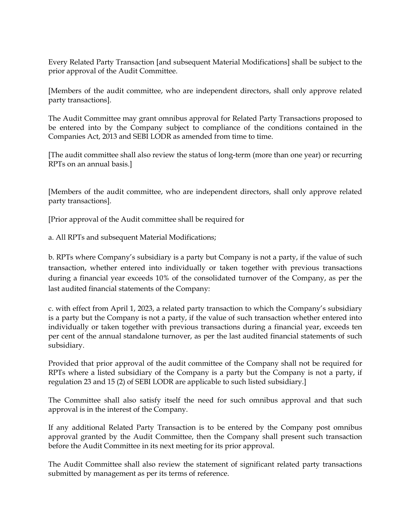Every Related Party Transaction [and subsequent Material Modifications] shall be subject to the prior approval of the Audit Committee.

[Members of the audit committee, who are independent directors, shall only approve related party transactions].

The Audit Committee may grant omnibus approval for Related Party Transactions proposed to be entered into by the Company subject to compliance of the conditions contained in the Companies Act, 2013 and SEBI LODR as amended from time to time.

[The audit committee shall also review the status of long-term (more than one year) or recurring RPTs on an annual basis.]

[Members of the audit committee, who are independent directors, shall only approve related party transactions].

[Prior approval of the Audit committee shall be required for

a. All RPTs and subsequent Material Modifications;

b. RPTs where Company's subsidiary is a party but Company is not a party, if the value of such transaction, whether entered into individually or taken together with previous transactions during a financial year exceeds 10% of the consolidated turnover of the Company, as per the last audited financial statements of the Company:

c. with effect from April 1, 2023, a related party transaction to which the Company's subsidiary is a party but the Company is not a party, if the value of such transaction whether entered into individually or taken together with previous transactions during a financial year, exceeds ten per cent of the annual standalone turnover, as per the last audited financial statements of such subsidiary.

Provided that prior approval of the audit committee of the Company shall not be required for RPTs where a listed subsidiary of the Company is a party but the Company is not a party, if regulation 23 and 15 (2) of SEBI LODR are applicable to such listed subsidiary.]

The Committee shall also satisfy itself the need for such omnibus approval and that such approval is in the interest of the Company.

If any additional Related Party Transaction is to be entered by the Company post omnibus approval granted by the Audit Committee, then the Company shall present such transaction before the Audit Committee in its next meeting for its prior approval.

The Audit Committee shall also review the statement of significant related party transactions submitted by management as per its terms of reference.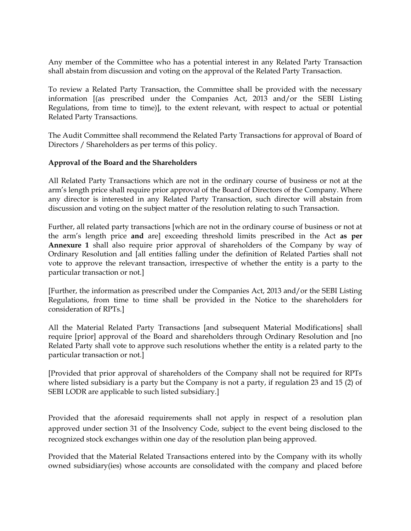Any member of the Committee who has a potential interest in any Related Party Transaction shall abstain from discussion and voting on the approval of the Related Party Transaction.

To review a Related Party Transaction, the Committee shall be provided with the necessary information [(as prescribed under the Companies Act, 2013 and/or the SEBI Listing Regulations, from time to time)], to the extent relevant, with respect to actual or potential Related Party Transactions.

The Audit Committee shall recommend the Related Party Transactions for approval of Board of Directors / Shareholders as per terms of this policy.

### Approval of the Board and the Shareholders

All Related Party Transactions which are not in the ordinary course of business or not at the arm's length price shall require prior approval of the Board of Directors of the Company. Where any director is interested in any Related Party Transaction, such director will abstain from discussion and voting on the subject matter of the resolution relating to such Transaction.

Further, all related party transactions [which are not in the ordinary course of business or not at the arm's length price and are] exceeding threshold limits prescribed in the Act as per Annexure 1 shall also require prior approval of shareholders of the Company by way of Ordinary Resolution and [all entities falling under the definition of Related Parties shall not vote to approve the relevant transaction, irrespective of whether the entity is a party to the particular transaction or not.]

[Further, the information as prescribed under the Companies Act, 2013 and/or the SEBI Listing Regulations, from time to time shall be provided in the Notice to the shareholders for consideration of RPTs.]

All the Material Related Party Transactions [and subsequent Material Modifications] shall require [prior] approval of the Board and shareholders through Ordinary Resolution and [no Related Party shall vote to approve such resolutions whether the entity is a related party to the particular transaction or not.]

[Provided that prior approval of shareholders of the Company shall not be required for RPTs where listed subsidiary is a party but the Company is not a party, if regulation 23 and 15 (2) of SEBI LODR are applicable to such listed subsidiary.]

Provided that the aforesaid requirements shall not apply in respect of a resolution plan approved under section 31 of the Insolvency Code, subject to the event being disclosed to the recognized stock exchanges within one day of the resolution plan being approved.

Provided that the Material Related Transactions entered into by the Company with its wholly owned subsidiary(ies) whose accounts are consolidated with the company and placed before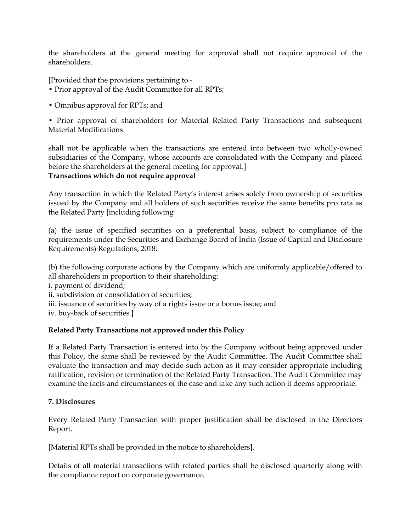the shareholders at the general meeting for approval shall not require approval of the shareholders.

[Provided that the provisions pertaining to -

- Prior approval of the Audit Committee for all RPTs;
- Omnibus approval for RPTs; and

• Prior approval of shareholders for Material Related Party Transactions and subsequent Material Modifications

shall not be applicable when the transactions are entered into between two wholly-owned subsidiaries of the Company, whose accounts are consolidated with the Company and placed before the shareholders at the general meeting for approval.] Transactions which do not require approval

Any transaction in which the Related Party's interest arises solely from ownership of securities issued by the Company and all holders of such securities receive the same benefits pro rata as the Related Party [including following

(a) the issue of specified securities on a preferential basis, subject to compliance of the requirements under the Securities and Exchange Board of India (Issue of Capital and Disclosure Requirements) Regulations, 2018;

(b) the following corporate actions by the Company which are uniformly applicable/offered to all shareholders in proportion to their shareholding: i. payment of dividend; ii. subdivision or consolidation of securities; iii. issuance of securities by way of a rights issue or a bonus issue; and iv. buy-back of securities.]

### Related Party Transactions not approved under this Policy

If a Related Party Transaction is entered into by the Company without being approved under this Policy, the same shall be reviewed by the Audit Committee. The Audit Committee shall evaluate the transaction and may decide such action as it may consider appropriate including ratification, revision or termination of the Related Party Transaction. The Audit Committee may examine the facts and circumstances of the case and take any such action it deems appropriate.

### 7. Disclosures

Every Related Party Transaction with proper justification shall be disclosed in the Directors Report.

[Material RPTs shall be provided in the notice to shareholders].

Details of all material transactions with related parties shall be disclosed quarterly along with the compliance report on corporate governance.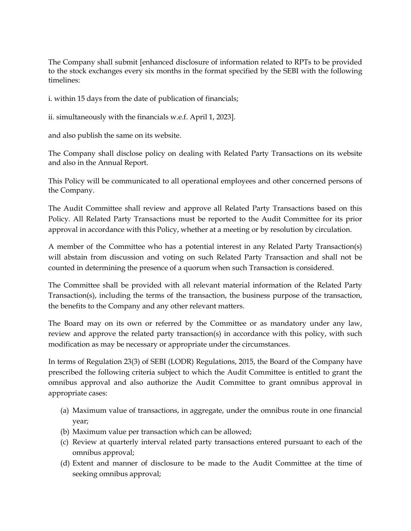The Company shall submit [enhanced disclosure of information related to RPTs to be provided to the stock exchanges every six months in the format specified by the SEBI with the following timelines:

i. within 15 days from the date of publication of financials;

ii. simultaneously with the financials w.e.f. April 1, 2023].

and also publish the same on its website.

The Company shall disclose policy on dealing with Related Party Transactions on its website and also in the Annual Report.

This Policy will be communicated to all operational employees and other concerned persons of the Company.

The Audit Committee shall review and approve all Related Party Transactions based on this Policy. All Related Party Transactions must be reported to the Audit Committee for its prior approval in accordance with this Policy, whether at a meeting or by resolution by circulation.

A member of the Committee who has a potential interest in any Related Party Transaction(s) will abstain from discussion and voting on such Related Party Transaction and shall not be counted in determining the presence of a quorum when such Transaction is considered.

The Committee shall be provided with all relevant material information of the Related Party Transaction(s), including the terms of the transaction, the business purpose of the transaction, the benefits to the Company and any other relevant matters.

The Board may on its own or referred by the Committee or as mandatory under any law, review and approve the related party transaction(s) in accordance with this policy, with such modification as may be necessary or appropriate under the circumstances.

In terms of Regulation 23(3) of SEBI (LODR) Regulations, 2015, the Board of the Company have prescribed the following criteria subject to which the Audit Committee is entitled to grant the omnibus approval and also authorize the Audit Committee to grant omnibus approval in appropriate cases:

- (a) Maximum value of transactions, in aggregate, under the omnibus route in one financial year;
- (b) Maximum value per transaction which can be allowed;
- (c) Review at quarterly interval related party transactions entered pursuant to each of the omnibus approval;
- (d) Extent and manner of disclosure to be made to the Audit Committee at the time of seeking omnibus approval;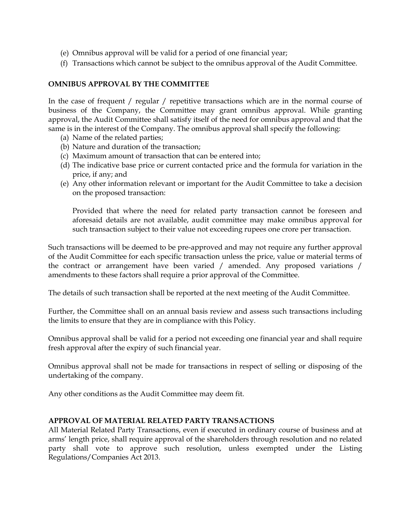- (e) Omnibus approval will be valid for a period of one financial year;
- (f) Transactions which cannot be subject to the omnibus approval of the Audit Committee.

#### OMNIBUS APPROVAL BY THE COMMITTEE

In the case of frequent / regular / repetitive transactions which are in the normal course of business of the Company, the Committee may grant omnibus approval. While granting approval, the Audit Committee shall satisfy itself of the need for omnibus approval and that the same is in the interest of the Company. The omnibus approval shall specify the following:

- (a) Name of the related parties;
- (b) Nature and duration of the transaction;
- (c) Maximum amount of transaction that can be entered into;
- (d) The indicative base price or current contacted price and the formula for variation in the price, if any; and
- (e) Any other information relevant or important for the Audit Committee to take a decision on the proposed transaction:

Provided that where the need for related party transaction cannot be foreseen and aforesaid details are not available, audit committee may make omnibus approval for such transaction subject to their value not exceeding rupees one crore per transaction.

Such transactions will be deemed to be pre-approved and may not require any further approval of the Audit Committee for each specific transaction unless the price, value or material terms of the contract or arrangement have been varied / amended. Any proposed variations / amendments to these factors shall require a prior approval of the Committee.

The details of such transaction shall be reported at the next meeting of the Audit Committee.

Further, the Committee shall on an annual basis review and assess such transactions including the limits to ensure that they are in compliance with this Policy.

Omnibus approval shall be valid for a period not exceeding one financial year and shall require fresh approval after the expiry of such financial year.

Omnibus approval shall not be made for transactions in respect of selling or disposing of the undertaking of the company.

Any other conditions as the Audit Committee may deem fit.

#### APPROVAL OF MATERIAL RELATED PARTY TRANSACTIONS

All Material Related Party Transactions, even if executed in ordinary course of business and at arms' length price, shall require approval of the shareholders through resolution and no related party shall vote to approve such resolution, unless exempted under the Listing Regulations/Companies Act 2013.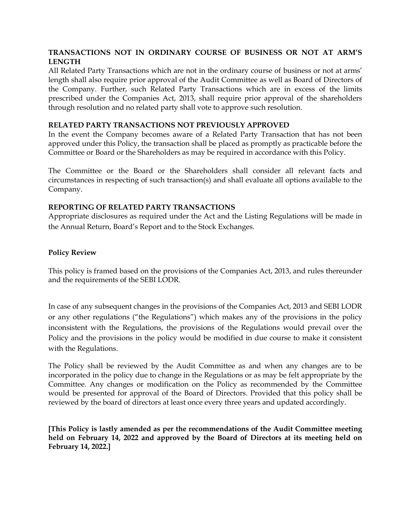### TRANSACTIONS NOT IN ORDINARY COURSE OF BUSINESS OR NOT AT ARM'S LENGTH

All Related Party Transactions which are not in the ordinary course of business or not at arms' length shall also require prior approval of the Audit Committee as well as Board of Directors of the Company. Further, such Related Party Transactions which are in excess of the limits prescribed under the Companies Act, 2013, shall require prior approval of the shareholders through resolution and no related party shall vote to approve such resolution.

#### RELATED PARTY TRANSACTIONS NOT PREVIOUSLY APPROVED

In the event the Company becomes aware of a Related Party Transaction that has not been approved under this Policy, the transaction shall be placed as promptly as practicable before the Committee or Board or the Shareholders as may be required in accordance with this Policy.

The Committee or the Board or the Shareholders shall consider all relevant facts and circumstances in respecting of such transaction(s) and shall evaluate all options available to the Company.

#### REPORTING OF RELATED PARTY TRANSACTIONS

Appropriate disclosures as required under the Act and the Listing Regulations will be made in the Annual Return, Board's Report and to the Stock Exchanges.

#### Policy Review

This policy is framed based on the provisions of the Companies Act, 2013, and rules thereunder and the requirements of the SEBI LODR.

In case of any subsequent changes in the provisions of the Companies Act, 2013 and SEBI LODR or any other regulations ("the Regulations") which makes any of the provisions in the policy inconsistent with the Regulations, the provisions of the Regulations would prevail over the Policy and the provisions in the policy would be modified in due course to make it consistent with the Regulations.

The Policy shall be reviewed by the Audit Committee as and when any changes are to be incorporated in the policy due to change in the Regulations or as may be felt appropriate by the Committee. Any changes or modification on the Policy as recommended by the Committee would be presented for approval of the Board of Directors. Provided that this policy shall be reviewed by the board of directors at least once every three years and updated accordingly.

[This Policy is lastly amended as per the recommendations of the Audit Committee meeting held on February 14, 2022 and approved by the Board of Directors at its meeting held on February 14, 2022.]